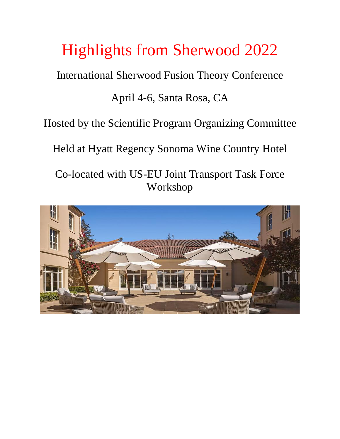# Highlights from Sherwood 2022

International Sherwood Fusion Theory Conference

## April 4-6, Santa Rosa, CA

Hosted by the Scientific Program Organizing Committee

Held at Hyatt Regency Sonoma Wine Country Hotel

Co-located with US-EU Joint Transport Task Force Workshop

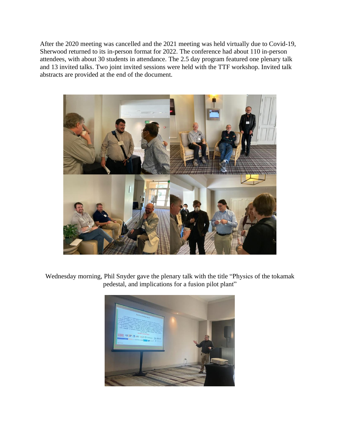After the 2020 meeting was cancelled and the 2021 meeting was held virtually due to Covid-19, Sherwood returned to its in-person format for 2022. The conference had about 110 in-person attendees, with about 30 students in attendance. The 2.5 day program featured one plenary talk and 13 invited talks. Two joint invited sessions were held with the TTF workshop. Invited talk abstracts are provided at the end of the document.



Wednesday morning, Phil Snyder gave the plenary talk with the title "Physics of the tokamak pedestal, and implications for a fusion pilot plant"

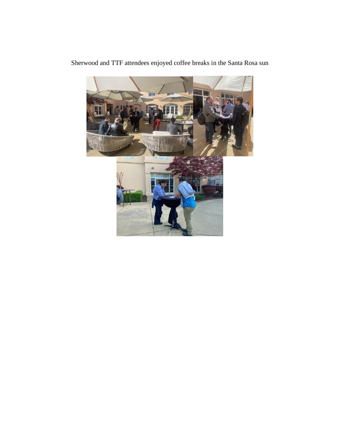

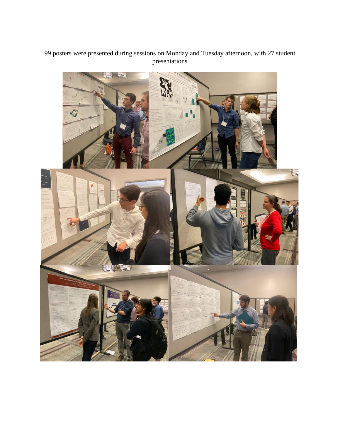#### 99 posters were presented during sessions on Monday and Tuesday afternoon, with 27 student presentations

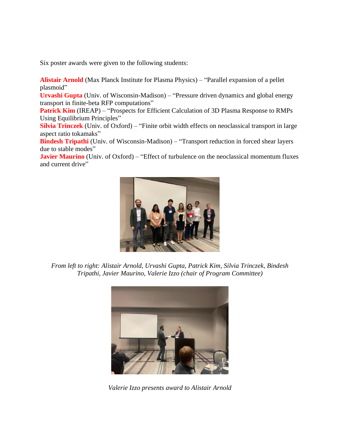Six poster awards were given to the following students:

**Alistair Arnold** (Max Planck Institute for Plasma Physics) – "Parallel expansion of a pellet plasmoid"

**Urvashi Gupta** (Univ. of Wisconsin-Madison) – "Pressure driven dynamics and global energy transport in finite-beta RFP computations"

**Patrick Kim** (IREAP) – "Prospects for Efficient Calculation of 3D Plasma Response to RMPs Using Equilibrium Principles"

**Silvia Trinczek** (Univ. of Oxford) – "Finite orbit width effects on neoclassical transport in large aspect ratio tokamaks"

**Bindesh Tripathi** (Univ. of Wisconsin-Madison) – "Transport reduction in forced shear layers due to stable modes"

**Javier Maurino** (Univ. of Oxford) – "Effect of turbulence on the neoclassical momentum fluxes and current drive"



*From left to right: Alistair Arnold, Urvashi Gupta, Patrick Kim, Silvia Trinczek, Bindesh Tripathi, Javier Maurino, Valerie Izzo (chair of Program Committee)*



*Valerie Izzo presents award to Alistair Arnold*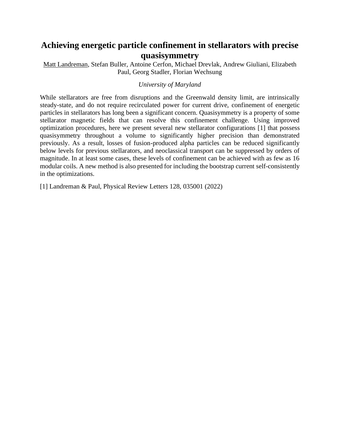## **Achieving energetic particle confinement in stellarators with precise quasisymmetry**

Matt Landreman, Stefan Buller, Antoine Cerfon, Michael Drevlak, Andrew Giuliani, Elizabeth Paul, Georg Stadler, Florian Wechsung

#### *University of Maryland*

While stellarators are free from disruptions and the Greenwald density limit, are intrinsically steady-state, and do not require recirculated power for current drive, confinement of energetic particles in stellarators has long been a significant concern. Quasisymmetry is a property of some stellarator magnetic fields that can resolve this confinement challenge. Using improved optimization procedures, here we present several new stellarator configurations [1] that possess quasisymmetry throughout a volume to significantly higher precision than demonstrated previously. As a result, losses of fusion-produced alpha particles can be reduced significantly below levels for previous stellarators, and neoclassical transport can be suppressed by orders of magnitude. In at least some cases, these levels of confinement can be achieved with as few as 16 modular coils. A new method is also presented for including the bootstrap current self-consistently in the optimizations.

[1] Landreman & Paul, Physical Review Letters 128, 035001 (2022)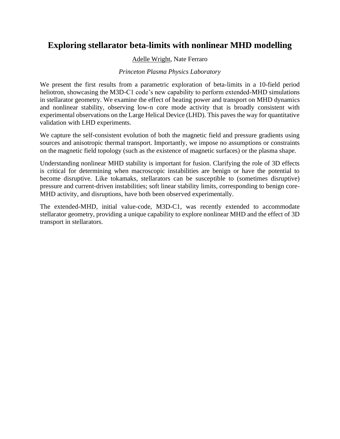## **Exploring stellarator beta-limits with nonlinear MHD modelling**

### Adelle Wright, Nate Ferraro

#### *Princeton Plasma Physics Laboratory*

We present the first results from a parametric exploration of beta-limits in a 10-field period heliotron, showcasing the M3D-C1 code's new capability to perform extended-MHD simulations in stellarator geometry. We examine the effect of heating power and transport on MHD dynamics and nonlinear stability, observing low-n core mode activity that is broadly consistent with experimental observations on the Large Helical Device (LHD). This paves the way for quantitative validation with LHD experiments.

We capture the self-consistent evolution of both the magnetic field and pressure gradients using sources and anisotropic thermal transport. Importantly, we impose no assumptions or constraints on the magnetic field topology (such as the existence of magnetic surfaces) or the plasma shape.

Understanding nonlinear MHD stability is important for fusion. Clarifying the role of 3D effects is critical for determining when macroscopic instabilities are benign or have the potential to become disruptive. Like tokamaks, stellarators can be susceptible to (sometimes disruptive) pressure and current-driven instabilities; soft linear stability limits, corresponding to benign core-MHD activity, and disruptions, have both been observed experimentally.

The extended-MHD, initial value-code, M3D-C1, was recently extended to accommodate stellarator geometry, providing a unique capability to explore nonlinear MHD and the effect of 3D transport in stellarators.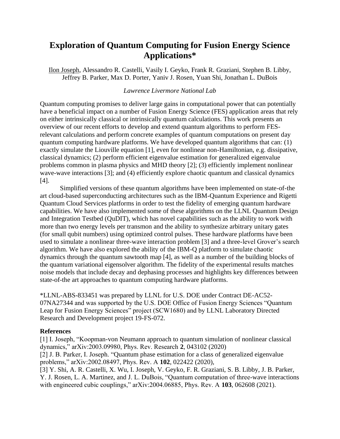## **Exploration of Quantum Computing for Fusion Energy Science Applications\***

Ilon Joseph, Alessandro R. Castelli, Vasily I. Geyko, Frank R. Graziani, Stephen B. Libby, Jeffrey B. Parker, Max D. Porter, Yaniv J. Rosen, Yuan Shi, Jonathan L. DuBois

#### *Lawrence Livermore National Lab*

Quantum computing promises to deliver large gains in computational power that can potentially have a beneficial impact on a number of Fusion Energy Science (FES) application areas that rely on either intrinsically classical or intrinsically quantum calculations. This work presents an overview of our recent efforts to develop and extend quantum algorithms to perform FESrelevant calculations and perform concrete examples of quantum computations on present day quantum computing hardware platforms. We have developed quantum algorithms that can: (1) exactly simulate the Liouville equation [1], even for nonlinear non-Hamiltonian, e.g. dissipative, classical dynamics; (2) perform efficient eigenvalue estimation for generalized eigenvalue problems common in plasma physics and MHD theory [2]; (3) efficiently implement nonlinear wave-wave interactions [3]; and (4) efficiently explore chaotic quantum and classical dynamics [4].

Simplified versions of these quantum algorithms have been implemented on state-of-the art cloud-based superconducting architectures such as the IBM-Quantum Experience and Rigetti Quantum Cloud Services platforms in order to test the fidelity of emerging quantum hardware capabilities. We have also implemented some of these algorithms on the LLNL Quantum Design and Integration Testbed (QuDIT), which has novel capabilities such as the ability to work with more than two energy levels per transmon and the ability to synthesize arbitrary unitary gates (for small qubit numbers) using optimized control pulses. These hardware platforms have been used to simulate a nonlinear three-wave interaction problem [3] and a three-level Grover's search algorithm. We have also explored the ability of the IBM-Q platform to simulate chaotic dynamics through the quantum sawtooth map [4], as well as a number of the building blocks of the quantum variational eigensolver algorithm. The fidelity of the experimental results matches noise models that include decay and dephasing processes and highlights key differences between state-of-the art approaches to quantum computing hardware platforms.

\*LLNL-ABS-833451 was prepared by LLNL for U.S. DOE under Contract DE-AC52- 07NA27344 and was supported by the U.S. DOE Office of Fusion Energy Sciences "Quantum Leap for Fusion Energy Sciences" project (SCW1680) and by LLNL Laboratory Directed Research and Development project 19-FS-072.

## **References**

[1] I. Joseph, "Koopman-von Neumann approach to quantum simulation of nonlinear classical dynamics," arXiv:2003.09980, Phys. Rev. Research **2**, 043102 (2020) [2] J. B. Parker, I. Joseph. "Quantum phase estimation for a class of generalized eigenvalue problems," arXiv:2002.08497, Phys. Rev. A **102**, 022422 (2020), [3] Y. Shi, A. R. Castelli, X. Wu, I. Joseph, V. Geyko, F. R. Graziani, S. B. Libby, J. B. Parker, Y. J. Rosen, L. A. Martinez, and J. L. DuBois, "Quantum computation of three-wave interactions with engineered cubic couplings," arXiv:2004.06885, Phys. Rev. A **103**, 062608 (2021).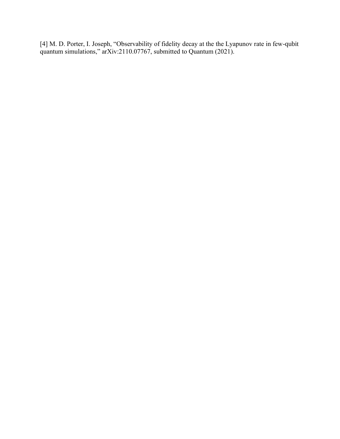[4] M. D. Porter, I. Joseph, "Observability of fidelity decay at the the Lyapunov rate in few-qubit quantum simulations," arXiv:2110.07767, submitted to Quantum (2021).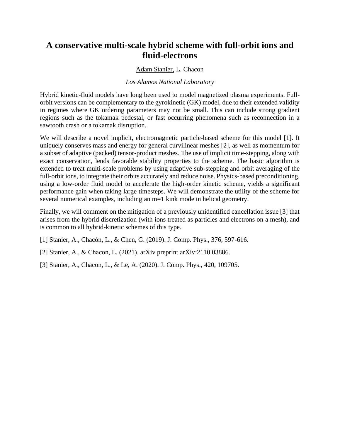## **A conservative multi-scale hybrid scheme with full-orbit ions and fluid-electrons**

#### Adam Stanier, L. Chacon

#### *Los Alamos National Laboratory*

Hybrid kinetic-fluid models have long been used to model magnetized plasma experiments. Fullorbit versions can be complementary to the gyrokinetic (GK) model, due to their extended validity in regimes where GK ordering parameters may not be small. This can include strong gradient regions such as the tokamak pedestal, or fast occurring phenomena such as reconnection in a sawtooth crash or a tokamak disruption.

We will describe a novel implicit, electromagnetic particle-based scheme for this model [1]. It uniquely conserves mass and energy for general curvilinear meshes [2], as well as momentum for a subset of adaptive (packed) tensor-product meshes. The use of implicit time-stepping, along with exact conservation, lends favorable stability properties to the scheme. The basic algorithm is extended to treat multi-scale problems by using adaptive sub-stepping and orbit averaging of the full-orbit ions, to integrate their orbits accurately and reduce noise. Physics-based preconditioning, using a low-order fluid model to accelerate the high-order kinetic scheme, yields a significant performance gain when taking large timesteps. We will demonstrate the utility of the scheme for several numerical examples, including an m=1 kink mode in helical geometry.

Finally, we will comment on the mitigation of a previously unidentified cancellation issue [3] that arises from the hybrid discretization (with ions treated as particles and electrons on a mesh), and is common to all hybrid-kinetic schemes of this type.

- [1] Stanier, A., Chacón, L., & Chen, G. (2019). J. Comp. Phys., 376, 597-616.
- [2] Stanier, A., & Chacon, L. (2021). arXiv preprint arXiv:2110.03886.
- [3] Stanier, A., Chacon, L., & Le, A. (2020). J. Comp. Phys., 420, 109705.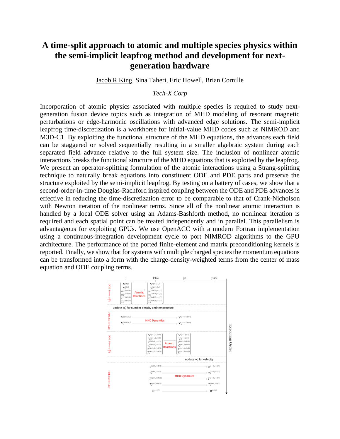## **A time-split approach to atomic and multiple species physics within the semi-implicit leapfrog method and development for nextgeneration hardware**

Jacob R King, Sina Taheri, Eric Howell, Brian Cornille

#### *Tech-X Corp*

Incorporation of atomic physics associated with multiple species is required to study nextgeneration fusion device topics such as integration of MHD modeling of resonant magnetic perturbations or edge-harmonic oscillations with advanced edge solutions. The semi-implicit leapfrog time-discretization is a workhorse for initial-value MHD codes such as NIMROD and M3D-C1. By exploiting the functional structure of the MHD equations, the advances each field can be staggered or solved sequentially resulting in a smaller algebraic system during each separated field advance relative to the full system size. The inclusion of nonlinear atomic interactions breaks the functional structure of the MHD equations that is exploited by the leapfrog. We present an operator-splitting formulation of the atomic interactions using a Strang-splitting technique to naturally break equations into constituent ODE and PDE parts and preserve the structure exploited by the semi-implicit leapfrog. By testing on a battery of cases, we show that a second-order-in-time Douglas-Rachford inspired coupling between the ODE and PDE advances is effective in reducing the time-discretization error to be comparable to that of Crank-Nicholson with Newton iteration of the nonlinear terms. Since all of the nonlinear atomic interaction is handled by a local ODE solver using an Adams-Bashforth method, no nonlinear iteration is required and each spatial point can be treated independently and in parallel. This parallelism is advantageous for exploiting GPUs. We use OpenACC with a modern Fortran implementation using a continuous-integration development cycle to port NIMROD algorithms to the GPU architecture. The performance of the ported finite-element and matrix preconditioning kernels is reported. Finally, we show that for systems with multiple charged species the momentum equations can be transformed into a form with the charge-density-weighted terms from the center of mass equation and ODE coupling terms.

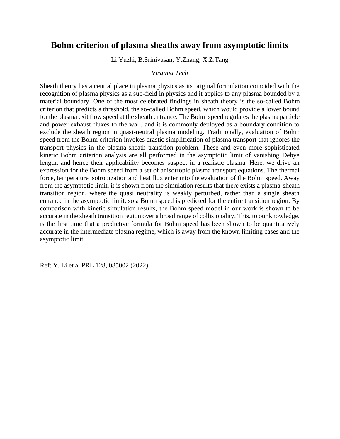## **Bohm criterion of plasma sheaths away from asymptotic limits**

Li Yuzhi, B.Srinivasan, Y.Zhang, X.Z.Tang

#### *Virginia Tech*

Sheath theory has a central place in plasma physics as its original formulation coincided with the recognition of plasma physics as a sub-field in physics and it applies to any plasma bounded by a material boundary. One of the most celebrated findings in sheath theory is the so-called Bohm criterion that predicts a threshold, the so-called Bohm speed, which would provide a lower bound for the plasma exit flow speed at the sheath entrance. The Bohm speed regulates the plasma particle and power exhaust fluxes to the wall, and it is commonly deployed as a boundary condition to exclude the sheath region in quasi-neutral plasma modeling. Traditionally, evaluation of Bohm speed from the Bohm criterion invokes drastic simplification of plasma transport that ignores the transport physics in the plasma-sheath transition problem. These and even more sophisticated kinetic Bohm criterion analysis are all performed in the asymptotic limit of vanishing Debye length, and hence their applicability becomes suspect in a realistic plasma. Here, we drive an expression for the Bohm speed from a set of anisotropic plasma transport equations. The thermal force, temperature isotropization and heat flux enter into the evaluation of the Bohm speed. Away from the asymptotic limit, it is shown from the simulation results that there exists a plasma-sheath transition region, where the quasi neutrality is weakly perturbed, rather than a single sheath entrance in the asymptotic limit, so a Bohm speed is predicted for the entire transition region. By comparison with kinetic simulation results, the Bohm speed model in our work is shown to be accurate in the sheath transition region over a broad range of collisionality. This, to our knowledge, is the first time that a predictive formula for Bohm speed has been shown to be quantitatively accurate in the intermediate plasma regime, which is away from the known limiting cases and the asymptotic limit.

Ref: Y. Li et al PRL 128, 085002 (2022)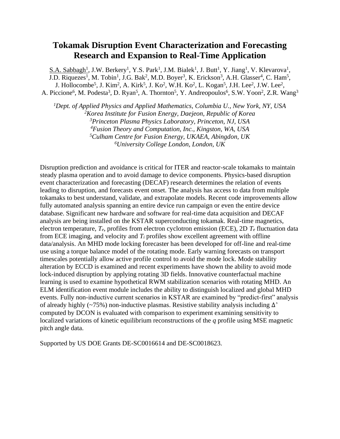## **Tokamak Disruption Event Characterization and Forecasting Research and Expansion to Real-Time Application**

 $S.A.$  Sabbagh<sup>1</sup>, J.W. Berkery<sup>1</sup>, Y.S. Park<sup>1</sup>, J.M. Bialek<sup>1</sup>, J. Butt<sup>1</sup>, Y. Jiang<sup>1</sup>, V. Klevarova<sup>1</sup>, J.D. Riquezes<sup>1</sup>, M. Tobin<sup>1</sup>, J.G. Bak<sup>2</sup>, M.D. Boyer<sup>3</sup>, K. Erickson<sup>3</sup>, A.H. Glasser<sup>4</sup>, C. Ham<sup>5</sup>, J. Hollocombe<sup>5</sup>, J. Kim<sup>2</sup>, A. Kirk<sup>5</sup>, J. Ko<sup>2</sup>, W.H. Ko<sup>2</sup>, L. Kogan<sup>5</sup>, J.H. Lee<sup>2</sup>, J.W. Lee<sup>2</sup>, A. Piccione<sup>6</sup>, M. Podesta<sup>3</sup>, D. Ryan<sup>5</sup>, A. Thornton<sup>5</sup>, Y. Andreopoulos<sup>6</sup>, S.W. Yoon<sup>2</sup>, Z.R. Wang<sup>3</sup>

*Dept. of Applied Physics and Applied Mathematics, Columbia U., New York, NY, USA Korea Institute for Fusion Energy, Daejeon, Republic of Korea Princeton Plasma Physics Laboratory, Princeton, NJ, USA Fusion Theory and Computation, Inc., Kingston, WA, USA Culham Centre for Fusion Energy, UKAEA, Abingdon, UK University College London, London, UK*

Disruption prediction and avoidance is critical for ITER and reactor-scale tokamaks to maintain steady plasma operation and to avoid damage to device components. Physics-based disruption event characterization and forecasting (DECAF) research determines the relation of events leading to disruption, and forecasts event onset. The analysis has access to data from multiple tokamaks to best understand, validate, and extrapolate models. Recent code improvements allow fully automated analysis spanning an entire device run campaign or even the entire device database. Significant new hardware and software for real-time data acquisition and DECAF analysis are being installed on the KSTAR superconducting tokamak. Real-time magnetics, electron temperature, *Te*, profiles from electron cyclotron emission (ECE), 2D *T<sup>e</sup>* fluctuation data from ECE imaging, and velocity and  $T_i$  profiles show excellent agreement with offline data/analysis. An MHD mode locking forecaster has been developed for off-line and real-time use using a torque balance model of the rotating mode. Early warning forecasts on transport timescales potentially allow active profile control to avoid the mode lock. Mode stability alteration by ECCD is examined and recent experiments have shown the ability to avoid mode lock-induced disruption by applying rotating 3D fields. Innovative counterfactual machine learning is used to examine hypothetical RWM stabilization scenarios with rotating MHD. An ELM identification event module includes the ability to distinguish localized and global MHD events. Fully non-inductive current scenarios in KSTAR are examined by "predict-first" analysis of already highly ( $\sim$ 75%) non-inductive plasmas. Resistive stability analysis including  $\Delta$ ' computed by DCON is evaluated with comparison to experiment examining sensitivity to localized variations of kinetic equilibrium reconstructions of the *q* profile using MSE magnetic pitch angle data.

Supported by US DOE Grants DE-SC0016614 and DE-SC0018623.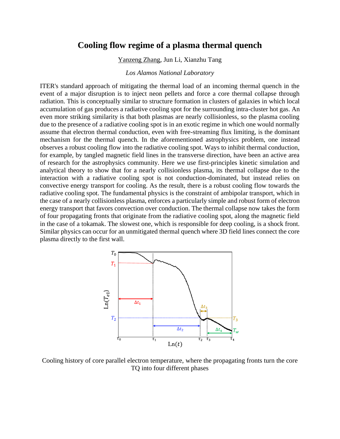## **Cooling flow regime of a plasma thermal quench**

Yanzeng Zhang, Jun Li, Xianzhu Tang

#### *Los Alamos National Laboratory*

ITER's standard approach of mitigating the thermal load of an incoming thermal quench in the event of a major disruption is to inject neon pellets and force a core thermal collapse through radiation. This is conceptually similar to structure formation in clusters of galaxies in which local accumulation of gas produces a radiative cooling spot for the surrounding intra-cluster hot gas. An even more striking similarity is that both plasmas are nearly collisionless, so the plasma cooling due to the presence of a radiative cooling spot is in an exotic regime in which one would normally assume that electron thermal conduction, even with free-streaming flux limiting, is the dominant mechanism for the thermal quench. In the aforementioned astrophysics problem, one instead observes a robust cooling flow into the radiative cooling spot. Ways to inhibit thermal conduction, for example, by tangled magnetic field lines in the transverse direction, have been an active area of research for the astrophysics community. Here we use first-principles kinetic simulation and analytical theory to show that for a nearly collisionless plasma, its thermal collapse due to the interaction with a radiative cooling spot is not conduction-dominated, but instead relies on convective energy transport for cooling. As the result, there is a robust cooling flow towards the radiative cooling spot. The fundamental physics is the constraint of ambipolar transport, which in the case of a nearly collisionless plasma, enforces a particularly simple and robust form of electron energy transport that favors convection over conduction. The thermal collapse now takes the form of four propagating fronts that originate from the radiative cooling spot, along the magnetic field in the case of a tokamak. The slowest one, which is responsible for deep cooling, is a shock front. Similar physics can occur for an unmitigated thermal quench where 3D field lines connect the core plasma directly to the first wall.



Cooling history of core parallel electron temperature, where the propagating fronts turn the core TQ into four different phases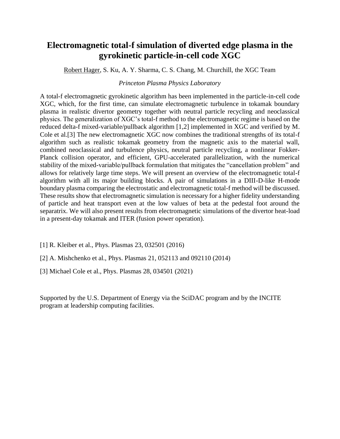## **Electromagnetic total-f simulation of diverted edge plasma in the gyrokinetic particle-in-cell code XGC**

Robert Hager, S. Ku, A. Y. Sharma, C. S. Chang, M. Churchill, the XGC Team

#### *Princeton Plasma Physics Laboratory*

A total-f electromagnetic gyrokinetic algorithm has been implemented in the particle-in-cell code XGC, which, for the first time, can simulate electromagnetic turbulence in tokamak boundary plasma in realistic divertor geometry together with neutral particle recycling and neoclassical physics. The generalization of XGC's total-f method to the electromagnetic regime is based on the reduced delta-f mixed-variable/pullback algorithm [1,2] implemented in XGC and verified by M. Cole et al.[3] The new electromagnetic XGC now combines the traditional strengths of its total-f algorithm such as realistic tokamak geometry from the magnetic axis to the material wall, combined neoclassical and turbulence physics, neutral particle recycling, a nonlinear Fokker-Planck collision operator, and efficient, GPU-accelerated parallelization, with the numerical stability of the mixed-variable/pullback formulation that mitigates the "cancellation problem" and allows for relatively large time steps. We will present an overview of the electromagnetic total-f algorithm with all its major building blocks. A pair of simulations in a DIII-D-like H-mode boundary plasma comparing the electrostatic and electromagnetic total-f method will be discussed. These results show that electromagnetic simulation is necessary for a higher fidelity understanding of particle and heat transport even at the low values of beta at the pedestal foot around the separatrix. We will also present results from electromagnetic simulations of the divertor heat-load in a present-day tokamak and ITER (fusion power operation).

- [1] R. Kleiber et al., Phys. Plasmas 23, 032501 (2016)
- [2] A. Mishchenko et al., Phys. Plasmas 21, 052113 and 092110 (2014)
- [3] Michael Cole et al., Phys. Plasmas 28, 034501 (2021)

Supported by the U.S. Department of Energy via the SciDAC program and by the INCITE program at leadership computing facilities.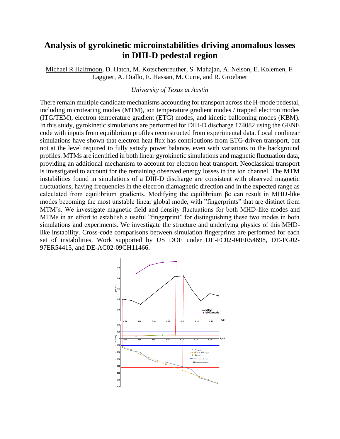## **Analysis of gyrokinetic microinstabilities driving anomalous losses in DIII-D pedestal region**

Michael R Halfmoon, D. Hatch, M. Kotschenreuther, S. Mahajan, A. Nelson, E. Kolemen, F. Laggner, A. Diallo, E. Hassan, M. Curie, and R. Groebner

#### *University of Texas at Austin*

There remain multiple candidate mechanisms accounting for transport across the H-mode pedestal, including microtearing modes (MTM), ion temperature gradient modes / trapped electron modes (ITG/TEM), electron temperature gradient (ETG) modes, and kinetic ballooning modes (KBM). In this study, gyrokinetic simulations are performed for DIII-D discharge 174082 using the GENE code with inputs from equilibrium profiles reconstructed from experimental data. Local nonlinear simulations have shown that electron heat flux has contributions from ETG-driven transport, but not at the level required to fully satisfy power balance, even with variations to the background profiles. MTMs are identified in both linear gyrokinetic simulations and magnetic fluctuation data, providing an additional mechanism to account for electron heat transport. Neoclassical transport is investigated to account for the remaining observed energy losses in the ion channel. The MTM instabilities found in simulations of a DIII-D discharge are consistent with observed magnetic fluctuations, having frequencies in the electron diamagnetic direction and in the expected range as calculated from equilibrium gradients. Modifying the equilibrium βe can result in MHD-like modes becoming the most unstable linear global mode, with "fingerprints" that are distinct from MTM's. We investigate magnetic field and density fluctuations for both MHD-like modes and MTMs in an effort to establish a useful "fingerprint" for distinguishing these two modes in both simulations and experiments. We investigate the structure and underlying physics of this MHDlike instability. Cross-code comparisons between simulation fingerprints are performed for each set of instabilities. Work supported by US DOE under DE-FC02-04ER54698, DE-FG02- 97ER54415, and DE-AC02-09CH11466.

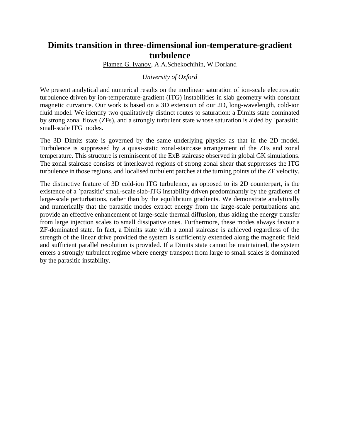## **Dimits transition in three-dimensional ion-temperature-gradient turbulence**

Plamen G. Ivanov, A.A.Schekochihin, W.Dorland

#### *University of Oxford*

We present analytical and numerical results on the nonlinear saturation of ion-scale electrostatic turbulence driven by ion-temperature-gradient (ITG) instabilities in slab geometry with constant magnetic curvature. Our work is based on a 3D extension of our 2D, long-wavelength, cold-ion fluid model. We identify two qualitatively distinct routes to saturation: a Dimits state dominated by strong zonal flows (ZFs), and a strongly turbulent state whose saturation is aided by `parasitic' small-scale ITG modes.

The 3D Dimits state is governed by the same underlying physics as that in the 2D model. Turbulence is suppressed by a quasi-static zonal-staircase arrangement of the ZFs and zonal temperature. This structure is reminiscent of the ExB staircase observed in global GK simulations. The zonal staircase consists of interleaved regions of strong zonal shear that suppresses the ITG turbulence in those regions, and localised turbulent patches at the turning points of the ZF velocity.

The distinctive feature of 3D cold-ion ITG turbulence, as opposed to its 2D counterpart, is the existence of a `parasitic' small-scale slab-ITG instability driven predominantly by the gradients of large-scale perturbations, rather than by the equilibrium gradients. We demonstrate analytically and numerically that the parasitic modes extract energy from the large-scale perturbations and provide an effective enhancement of large-scale thermal diffusion, thus aiding the energy transfer from large injection scales to small dissipative ones. Furthermore, these modes always favour a ZF-dominated state. In fact, a Dimits state with a zonal staircase is achieved regardless of the strength of the linear drive provided the system is sufficiently extended along the magnetic field and sufficient parallel resolution is provided. If a Dimits state cannot be maintained, the system enters a strongly turbulent regime where energy transport from large to small scales is dominated by the parasitic instability.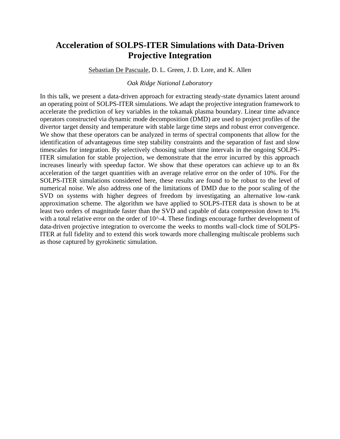## **Acceleration of SOLPS-ITER Simulations with Data-Driven Projective Integration**

Sebastian De Pascuale, D. L. Green, J. D. Lore, and K. Allen

#### *Oak Ridge National Laboratory*

In this talk, we present a data-driven approach for extracting steady-state dynamics latent around an operating point of SOLPS-ITER simulations. We adapt the projective integration framework to accelerate the prediction of key variables in the tokamak plasma boundary. Linear time advance operators constructed via dynamic mode decomposition (DMD) are used to project profiles of the divertor target density and temperature with stable large time steps and robust error convergence. We show that these operators can be analyzed in terms of spectral components that allow for the identification of advantageous time step stability constraints and the separation of fast and slow timescales for integration. By selectively choosing subset time intervals in the ongoing SOLPS-ITER simulation for stable projection, we demonstrate that the error incurred by this approach increases linearly with speedup factor. We show that these operators can achieve up to an 8x acceleration of the target quantities with an average relative error on the order of 10%. For the SOLPS-ITER simulations considered here, these results are found to be robust to the level of numerical noise. We also address one of the limitations of DMD due to the poor scaling of the SVD on systems with higher degrees of freedom by investigating an alternative low-rank approximation scheme. The algorithm we have applied to SOLPS-ITER data is shown to be at least two orders of magnitude faster than the SVD and capable of data compression down to 1% with a total relative error on the order of 10^-4. These findings encourage further development of data-driven projective integration to overcome the weeks to months wall-clock time of SOLPS-ITER at full fidelity and to extend this work towards more challenging multiscale problems such as those captured by gyrokinetic simulation.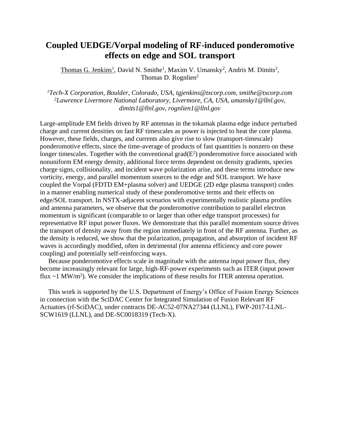## **Coupled UEDGE/Vorpal modeling of RF-induced ponderomotive effects on edge and SOL transport**

Thomas G. Jenkins<sup>1</sup>, David N. Smithe<sup>1</sup>, Maxim V. Umansky<sup>2</sup>, Andris M. Dimits<sup>2</sup>, Thomas D. Rognlien<sup>2</sup>

*<sup>1</sup>Tech-X Corporation, Boulder, Colorado, USA, tgjenkins@txcorp.com, smithe@txcorp.com <sup>2</sup>Lawrence Livermore National Laboratory, Livermore, CA, USA, umansky1@llnl.gov, dimits1@llnl.gov, rognlien1@llnl.gov*

Large-amplitude EM fields driven by RF antennas in the tokamak plasma edge induce perturbed charge and current densities on fast RF timescales as power is injected to heat the core plasma. However, these fields, charges, and currents also give rise to slow (transport-timescale) ponderomotive effects, since the time-average of products of fast quantities is nonzero on these longer timescales. Together with the conventional grad $(E^2)$  ponderomotive force associated with nonuniform EM energy density, additional force terms dependent on density gradients, species charge signs, collisionality, and incident wave polarization arise, and these terms introduce new vorticity, energy, and parallel momentum sources to the edge and SOL transport. We have coupled the Vorpal (FDTD EM+plasma solver) and UEDGE (2D edge plasma transport) codes in a manner enabling numerical study of these ponderomotive terms and their effects on edge/SOL transport. In NSTX-adjacent scenarios with experimentally realistic plasma profiles and antenna parameters, we observe that the ponderomotive contribution to parallel electron momentum is significant (comparable to or larger than other edge transport processes) for representative RF input power fluxes. We demonstrate that this parallel momentum source drives the transport of density away from the region immediately in front of the RF antenna. Further, as the density is reduced, we show that the polarization, propagation, and absorption of incident RF waves is accordingly modified, often in detrimental (for antenna efficiency and core power coupling) and potentially self-reinforcing ways.

 Because ponderomotive effects scale in magnitude with the antenna input power flux, they become increasingly relevant for large, high-RF-power experiments such as ITER (input power flux  $\sim$  1 MW/m<sup>2</sup>). We consider the implications of these results for ITER antenna operation.

 This work is supported by the U.S. Department of Energy's Office of Fusion Energy Sciences in connection with the SciDAC Center for Integrated Simulation of Fusion Relevant RF Actuators (rf-SciDAC), under contracts DE-AC52-07NA27344 (LLNL), FWP-2017-LLNL-SCW1619 (LLNL), and DE-SC0018319 (Tech-X).